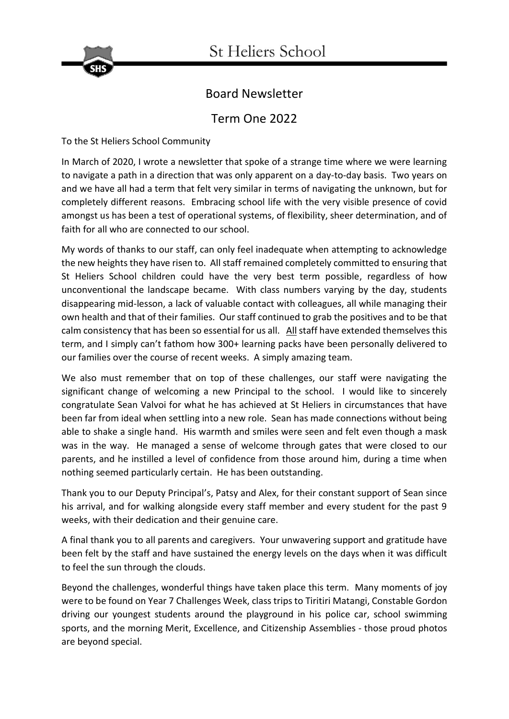

# Board Newsletter

# Term One 2022

To the St Heliers School Community

In March of 2020, I wrote a newsletter that spoke of a strange time where we were learning to navigate a path in a direction that was only apparent on a day-to-day basis. Two years on and we have all had a term that felt very similar in terms of navigating the unknown, but for completely different reasons. Embracing school life with the very visible presence of covid amongst us has been a test of operational systems, of flexibility, sheer determination, and of faith for all who are connected to our school.

My words of thanks to our staff, can only feel inadequate when attempting to acknowledge the new heights they have risen to. All staff remained completely committed to ensuring that St Heliers School children could have the very best term possible, regardless of how unconventional the landscape became. With class numbers varying by the day, students disappearing mid-lesson, a lack of valuable contact with colleagues, all while managing their own health and that of their families. Our staff continued to grab the positives and to be that calm consistency that has been so essential for us all. All staff have extended themselves this term, and I simply can't fathom how 300+ learning packs have been personally delivered to our families over the course of recent weeks. A simply amazing team.

We also must remember that on top of these challenges, our staff were navigating the significant change of welcoming a new Principal to the school. I would like to sincerely congratulate Sean Valvoi for what he has achieved at St Heliers in circumstances that have been far from ideal when settling into a new role. Sean has made connections without being able to shake a single hand. His warmth and smiles were seen and felt even though a mask was in the way. He managed a sense of welcome through gates that were closed to our parents, and he instilled a level of confidence from those around him, during a time when nothing seemed particularly certain. He has been outstanding.

Thank you to our Deputy Principal's, Patsy and Alex, for their constant support of Sean since his arrival, and for walking alongside every staff member and every student for the past 9 weeks, with their dedication and their genuine care.

A final thank you to all parents and caregivers. Your unwavering support and gratitude have been felt by the staff and have sustained the energy levels on the days when it was difficult to feel the sun through the clouds.

Beyond the challenges, wonderful things have taken place this term. Many moments of joy were to be found on Year 7 Challenges Week, class trips to Tiritiri Matangi, Constable Gordon driving our youngest students around the playground in his police car, school swimming sports, and the morning Merit, Excellence, and Citizenship Assemblies - those proud photos are beyond special.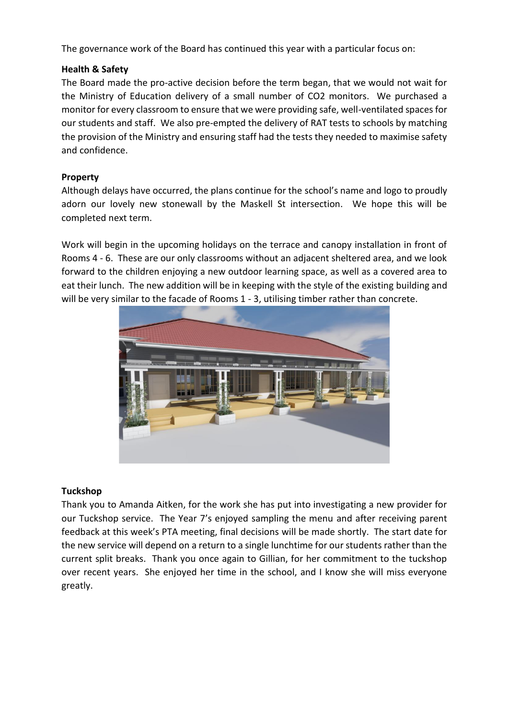The governance work of the Board has continued this year with a particular focus on:

# **Health & Safety**

The Board made the pro-active decision before the term began, that we would not wait for the Ministry of Education delivery of a small number of CO2 monitors. We purchased a monitor for every classroom to ensure that we were providing safe, well-ventilated spaces for our students and staff. We also pre-empted the delivery of RAT tests to schools by matching the provision of the Ministry and ensuring staff had the tests they needed to maximise safety and confidence.

# **Property**

Although delays have occurred, the plans continue for the school's name and logo to proudly adorn our lovely new stonewall by the Maskell St intersection. We hope this will be completed next term.

Work will begin in the upcoming holidays on the terrace and canopy installation in front of Rooms 4 - 6. These are our only classrooms without an adjacent sheltered area, and we look forward to the children enjoying a new outdoor learning space, as well as a covered area to eat their lunch. The new addition will be in keeping with the style of the existing building and will be very similar to the facade of Rooms 1 - 3, utilising timber rather than concrete.



#### **Tuckshop**

Thank you to Amanda Aitken, for the work she has put into investigating a new provider for our Tuckshop service. The Year 7's enjoyed sampling the menu and after receiving parent feedback at this week's PTA meeting, final decisions will be made shortly. The start date for the new service will depend on a return to a single lunchtime for our students rather than the current split breaks. Thank you once again to Gillian, for her commitment to the tuckshop over recent years. She enjoyed her time in the school, and I know she will miss everyone greatly.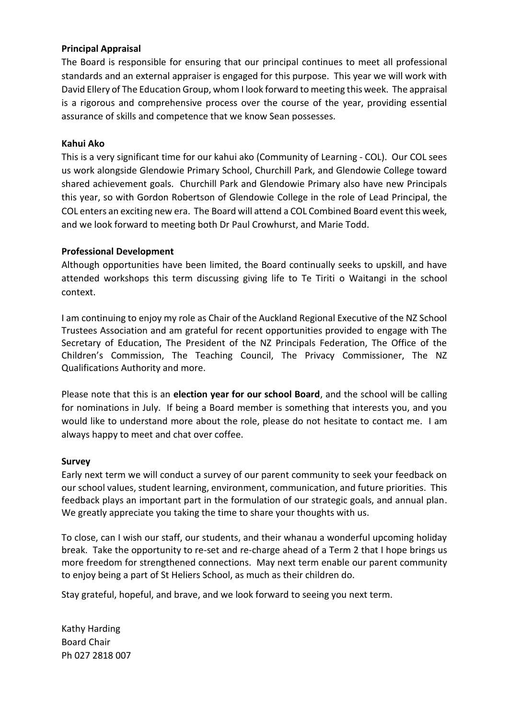# **Principal Appraisal**

The Board is responsible for ensuring that our principal continues to meet all professional standards and an external appraiser is engaged for this purpose. This year we will work with David Ellery of The Education Group, whom I look forward to meeting this week. The appraisal is a rigorous and comprehensive process over the course of the year, providing essential assurance of skills and competence that we know Sean possesses.

### **Kahui Ako**

This is a very significant time for our kahui ako (Community of Learning - COL). Our COL sees us work alongside Glendowie Primary School, Churchill Park, and Glendowie College toward shared achievement goals. Churchill Park and Glendowie Primary also have new Principals this year, so with Gordon Robertson of Glendowie College in the role of Lead Principal, the COL enters an exciting new era. The Board will attend a COL Combined Board event this week, and we look forward to meeting both Dr Paul Crowhurst, and Marie Todd.

# **Professional Development**

Although opportunities have been limited, the Board continually seeks to upskill, and have attended workshops this term discussing giving life to Te Tiriti o Waitangi in the school context.

I am continuing to enjoy my role as Chair of the Auckland Regional Executive of the NZ School Trustees Association and am grateful for recent opportunities provided to engage with The Secretary of Education, The President of the NZ Principals Federation, The Office of the Children's Commission, The Teaching Council, The Privacy Commissioner, The NZ Qualifications Authority and more.

Please note that this is an **election year for our school Board**, and the school will be calling for nominations in July. If being a Board member is something that interests you, and you would like to understand more about the role, please do not hesitate to contact me. I am always happy to meet and chat over coffee.

#### **Survey**

Early next term we will conduct a survey of our parent community to seek your feedback on our school values, student learning, environment, communication, and future priorities. This feedback plays an important part in the formulation of our strategic goals, and annual plan. We greatly appreciate you taking the time to share your thoughts with us.

To close, can I wish our staff, our students, and their whanau a wonderful upcoming holiday break. Take the opportunity to re-set and re-charge ahead of a Term 2 that I hope brings us more freedom for strengthened connections. May next term enable our parent community to enjoy being a part of St Heliers School, as much as their children do.

Stay grateful, hopeful, and brave, and we look forward to seeing you next term.

Kathy Harding Board Chair Ph 027 2818 007